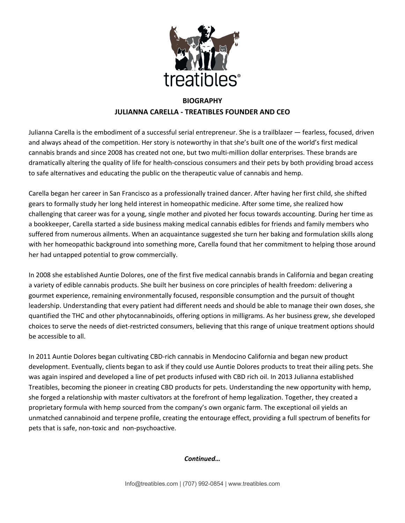

## **BIOGRAPHY JULIANNA CARELLA - TREATIBLES FOUNDER AND CEO**

Julianna Carella is the embodiment of a successful serial entrepreneur. She is a trailblazer — fearless, focused, driven and always ahead of the competition. Her story is noteworthy in that she's built one of the world's first medical cannabis brands and since 2008 has created not one, but two multi-million dollar enterprises. These brands are dramatically altering the quality of life for health-conscious consumers and their pets by both providing broad access to safe alternatives and educating the public on the therapeutic value of cannabis and hemp.

Carella began her career in San Francisco as a professionally trained dancer. After having her first child, she shifted gears to formally study her long held interest in homeopathic medicine. After some time, she realized how challenging that career was for a young, single mother and pivoted her focus towards accounting. During her time as a bookkeeper, Carella started a side business making medical cannabis edibles for friends and family members who suffered from numerous ailments. When an acquaintance suggested she turn her baking and formulation skills along with her homeopathic background into something more, Carella found that her commitment to helping those around her had untapped potential to grow commercially.

In 2008 she established Auntie Dolores, one of the first five medical cannabis brands in California and began creating a variety of edible cannabis products. She built her business on core principles of health freedom: delivering a gourmet experience, remaining environmentally focused, responsible consumption and the pursuit of thought leadership. Understanding that every patient had different needs and should be able to manage their own doses, she quantified the THC and other phytocannabinoids, offering options in milligrams. As her business grew, she developed choices to serve the needs of diet-restricted consumers, believing that this range of unique treatment options should be accessible to all.

In 2011 Auntie Dolores began cultivating CBD-rich cannabis in Mendocino California and began new product development. Eventually, clients began to ask if they could use Auntie Dolores products to treat their ailing pets. She was again inspired and developed a line of pet products infused with CBD rich oil. In 2013 Julianna established Treatibles, becoming the pioneer in creating CBD products for pets. Understanding the new opportunity with hemp, she forged a relationship with master cultivators at the forefront of hemp legalization. Together, they created a proprietary formula with hemp sourced from the company's own organic farm. The exceptional oil yields an unmatched cannabinoid and terpene profile, creating the entourage effect, providing a full spectrum of benefits for pets that is safe, non-toxic and non-psychoactive.

## *Continued…*